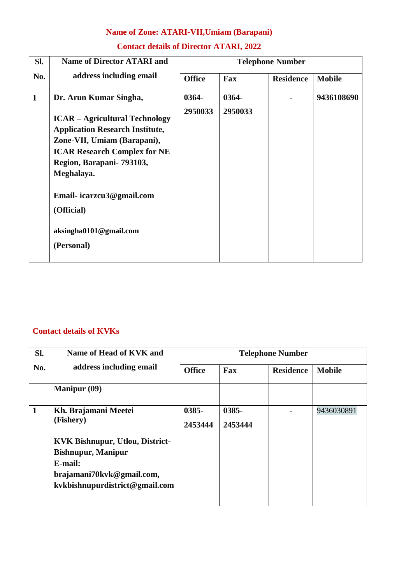# **Name of Zone: ATARI-VII,Umiam (Barapani)**

| SI.          | <b>Name of Director ATARI and</b>                                                                            | <b>Telephone Number</b> |                  |                  |               |
|--------------|--------------------------------------------------------------------------------------------------------------|-------------------------|------------------|------------------|---------------|
| No.          | address including email                                                                                      | <b>Office</b>           | Fax              | <b>Residence</b> | <b>Mobile</b> |
| $\mathbf{1}$ | Dr. Arun Kumar Singha,<br><b>ICAR – Agricultural Technology</b>                                              | 0364-<br>2950033        | 0364-<br>2950033 |                  | 9436108690    |
|              | <b>Application Research Institute,</b><br>Zone-VII, Umiam (Barapani),<br><b>ICAR Research Complex for NE</b> |                         |                  |                  |               |
|              | Region, Barapani- 793103,<br>Meghalaya.                                                                      |                         |                  |                  |               |
|              | Email-icarzcu3@gmail.com<br>(Official)                                                                       |                         |                  |                  |               |
|              | aksingha0101@gmail.com<br>(Personal)                                                                         |                         |                  |                  |               |

#### **Contact details of KVKs**

| SI.          | Name of Head of KVK and                | <b>Telephone Number</b> |          |                  |               |  |
|--------------|----------------------------------------|-------------------------|----------|------------------|---------------|--|
| No.          | address including email                | <b>Office</b>           | Fax      | <b>Residence</b> | <b>Mobile</b> |  |
|              | <b>Manipur</b> (09)                    |                         |          |                  |               |  |
| $\mathbf{1}$ | Kh. Brajamani Meetei                   | 0385-                   | $0385 -$ |                  | 9436030891    |  |
|              | (Fishery)                              | 2453444                 | 2453444  |                  |               |  |
|              | <b>KVK Bishnupur, Utlou, District-</b> |                         |          |                  |               |  |
|              | <b>Bishnupur, Manipur</b>              |                         |          |                  |               |  |
|              | E-mail:                                |                         |          |                  |               |  |
|              | brajamani70kvk@gmail.com,              |                         |          |                  |               |  |
|              | kvkbishnupurdistrict@gmail.com         |                         |          |                  |               |  |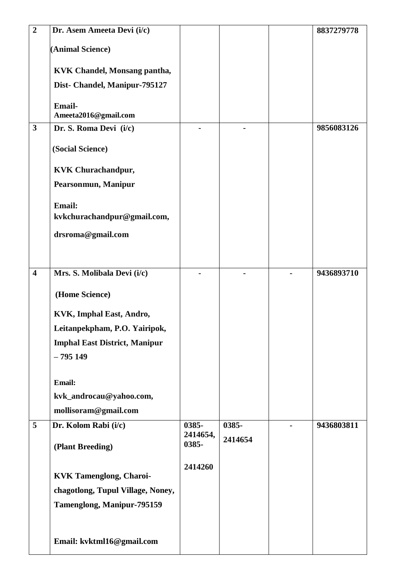| $\overline{2}$          | Dr. Asem Ameeta Devi (i/c)                   |                   |         | 8837279778 |
|-------------------------|----------------------------------------------|-------------------|---------|------------|
|                         | (Animal Science)                             |                   |         |            |
|                         |                                              |                   |         |            |
|                         | <b>KVK Chandel, Monsang pantha,</b>          |                   |         |            |
|                         | Dist- Chandel, Manipur-795127                |                   |         |            |
|                         | <b>Email-</b>                                |                   |         |            |
|                         | Ameeta2016@gmail.com                         |                   |         |            |
| $\mathbf{3}$            | Dr. S. Roma Devi (i/c)                       |                   |         | 9856083126 |
|                         | (Social Science)                             |                   |         |            |
|                         | <b>KVK Churachandpur,</b>                    |                   |         |            |
|                         | Pearsonmun, Manipur                          |                   |         |            |
|                         |                                              |                   |         |            |
|                         | <b>Email:</b><br>kvkchurachandpur@gmail.com, |                   |         |            |
|                         |                                              |                   |         |            |
|                         | drsroma@gmail.com                            |                   |         |            |
|                         |                                              |                   |         |            |
| $\overline{\mathbf{4}}$ | Mrs. S. Molibala Devi (i/c)                  |                   |         | 9436893710 |
|                         |                                              |                   |         |            |
|                         | (Home Science)                               |                   |         |            |
|                         | KVK, Imphal East, Andro,                     |                   |         |            |
|                         | Leitanpekpham, P.O. Yairipok,                |                   |         |            |
|                         | <b>Imphal East District, Manipur</b>         |                   |         |            |
|                         | $-795149$                                    |                   |         |            |
|                         |                                              |                   |         |            |
|                         | <b>Email:</b>                                |                   |         |            |
|                         | kvk_androcau@yahoo.com,                      |                   |         |            |
|                         | mollisoram@gmail.com                         |                   |         |            |
| $5\overline{)}$         | Dr. Kolom Rabi (i/c)                         | 0385-<br>2414654, | 0385-   | 9436803811 |
|                         | (Plant Breeding)                             | 0385-             | 2414654 |            |
|                         |                                              |                   |         |            |
|                         | <b>KVK Tamenglong, Charoi-</b>               | 2414260           |         |            |
|                         | chagotlong, Tupul Village, Noney,            |                   |         |            |
|                         | Tamenglong, Manipur-795159                   |                   |         |            |
|                         |                                              |                   |         |            |
|                         |                                              |                   |         |            |
|                         | Email: kvktml16@gmail.com                    |                   |         |            |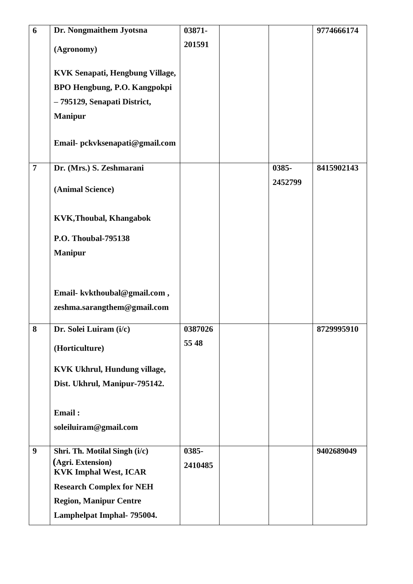| 6                | Dr. Nongmaithem Jyotsna                           | 03871-  |         | 9774666174 |
|------------------|---------------------------------------------------|---------|---------|------------|
|                  | (Agronomy)                                        | 201591  |         |            |
|                  | KVK Senapati, Hengbung Village,                   |         |         |            |
|                  | <b>BPO Hengbung, P.O. Kangpokpi</b>               |         |         |            |
|                  | - 795129, Senapati District,                      |         |         |            |
|                  | <b>Manipur</b>                                    |         |         |            |
|                  | Email- pckvksenapati@gmail.com                    |         |         |            |
| $\overline{7}$   | Dr. (Mrs.) S. Zeshmarani                          |         | 0385-   | 8415902143 |
|                  | (Animal Science)                                  |         | 2452799 |            |
|                  | <b>KVK, Thoubal, Khangabok</b>                    |         |         |            |
|                  | <b>P.O. Thoubal-795138</b>                        |         |         |            |
|                  | <b>Manipur</b>                                    |         |         |            |
|                  | Email- kvkthoubal@gmail.com,                      |         |         |            |
|                  | zeshma.sarangthem@gmail.com                       |         |         |            |
| 8                | Dr. Solei Luiram (i/c)                            | 0387026 |         | 8729995910 |
|                  | (Horticulture)                                    | 55 48   |         |            |
|                  | KVK Ukhrul, Hundung village,                      |         |         |            |
|                  | Dist. Ukhrul, Manipur-795142.                     |         |         |            |
|                  | Email:                                            |         |         |            |
|                  | soleiluiram@gmail.com                             |         |         |            |
| $\boldsymbol{9}$ | Shri. Th. Motilal Singh (i/c)                     | 0385-   |         | 9402689049 |
|                  | (Agri. Extension)<br><b>KVK Imphal West, ICAR</b> | 2410485 |         |            |
|                  | <b>Research Complex for NEH</b>                   |         |         |            |
|                  | <b>Region, Manipur Centre</b>                     |         |         |            |
|                  | Lamphelpat Imphal- 795004.                        |         |         |            |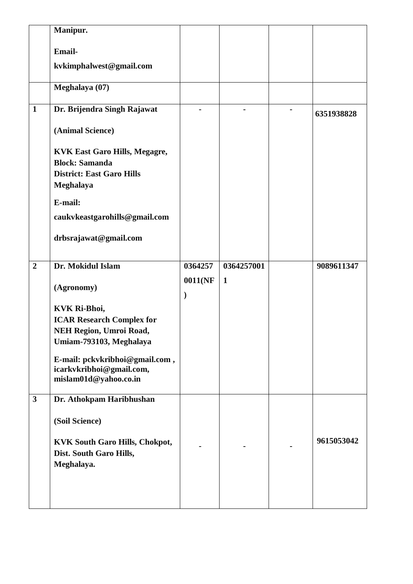|                | Manipur.                                                      |               |                |            |
|----------------|---------------------------------------------------------------|---------------|----------------|------------|
|                | <b>Email-</b>                                                 |               |                |            |
|                | kvkimphalwest@gmail.com                                       |               |                |            |
|                |                                                               |               |                |            |
|                | Meghalaya (07)                                                |               |                |            |
| $\mathbf{1}$   | Dr. Brijendra Singh Rajawat                                   |               |                |            |
|                |                                                               |               | $\blacksquare$ | 6351938828 |
|                | (Animal Science)                                              |               |                |            |
|                |                                                               |               |                |            |
|                | <b>KVK East Garo Hills, Megagre,</b><br><b>Block: Samanda</b> |               |                |            |
|                | <b>District: East Garo Hills</b>                              |               |                |            |
|                | Meghalaya                                                     |               |                |            |
|                | E-mail:                                                       |               |                |            |
|                | caukvkeastgarohills@gmail.com                                 |               |                |            |
|                |                                                               |               |                |            |
|                | drbsrajawat@gmail.com                                         |               |                |            |
|                |                                                               |               |                |            |
| $\overline{2}$ | Dr. Mokidul Islam                                             | 0364257       | 0364257001     | 9089611347 |
|                | (Agronomy)                                                    | 0011(NF       | $\mathbf{1}$   |            |
|                |                                                               | $\mathcal{E}$ |                |            |
|                | <b>KVK Ri-Bhoi,</b>                                           |               |                |            |
|                | <b>ICAR Research Complex for</b>                              |               |                |            |
|                | <b>NEH Region, Umroi Road,</b>                                |               |                |            |
|                | Umiam-793103, Meghalaya                                       |               |                |            |
|                | E-mail: pckvkribhoi@gmail.com,                                |               |                |            |
|                | icarkvkribhoi@gmail.com,<br>mislam01d@yahoo.co.in             |               |                |            |
|                |                                                               |               |                |            |
| $\mathbf{3}$   | Dr. Athokpam Haribhushan                                      |               |                |            |
|                | (Soil Science)                                                |               |                |            |
|                |                                                               |               |                |            |
|                | <b>KVK South Garo Hills, Chokpot,</b>                         |               |                | 9615053042 |
|                | Dist. South Garo Hills,                                       |               |                |            |
|                | Meghalaya.                                                    |               |                |            |
|                |                                                               |               |                |            |
|                |                                                               |               |                |            |
|                |                                                               |               |                |            |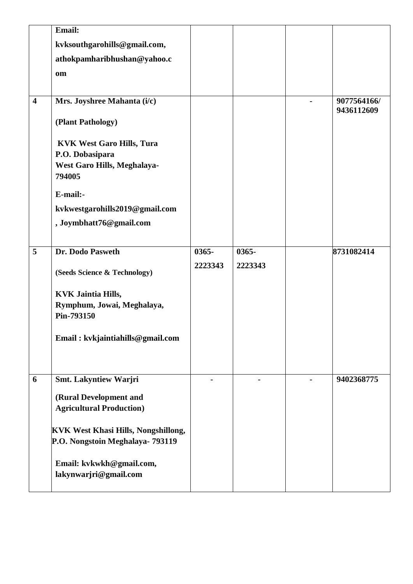|                         | <b>Email:</b>                                                                                |          |         |                           |
|-------------------------|----------------------------------------------------------------------------------------------|----------|---------|---------------------------|
|                         | kvksouthgarohills@gmail.com,                                                                 |          |         |                           |
|                         | athokpamharibhushan@yahoo.c                                                                  |          |         |                           |
|                         | om                                                                                           |          |         |                           |
|                         |                                                                                              |          |         |                           |
| $\overline{\mathbf{4}}$ | Mrs. Joyshree Mahanta (i/c)                                                                  |          |         | 9077564166/<br>9436112609 |
|                         | (Plant Pathology)                                                                            |          |         |                           |
|                         | <b>KVK West Garo Hills, Tura</b><br>P.O. Dobasipara<br>West Garo Hills, Meghalaya-<br>794005 |          |         |                           |
|                         | E-mail:-                                                                                     |          |         |                           |
|                         | kvkwestgarohills2019@gmail.com                                                               |          |         |                           |
|                         | , Joymbhatt76@gmail.com                                                                      |          |         |                           |
|                         |                                                                                              |          |         |                           |
| 5                       | Dr. Dodo Pasweth                                                                             | $0365 -$ | 0365-   | 8731082414                |
|                         | (Seeds Science & Technology)                                                                 | 2223343  | 2223343 |                           |
|                         | <b>KVK Jaintia Hills,</b>                                                                    |          |         |                           |
|                         | Rymphum, Jowai, Meghalaya,<br>Pin-793150                                                     |          |         |                           |
|                         | Email: kvkjaintiahills@gmail.com                                                             |          |         |                           |
| 6                       | Smt. Lakyntiew Warjri                                                                        |          |         | 9402368775                |
|                         |                                                                                              |          |         |                           |
|                         | (Rural Development and<br><b>Agricultural Production)</b>                                    |          |         |                           |
|                         |                                                                                              |          |         |                           |
|                         | <b>KVK West Khasi Hills, Nongshillong,</b>                                                   |          |         |                           |
|                         | P.O. Nongstoin Meghalaya- 793119                                                             |          |         |                           |
|                         | Email: kvkwkh@gmail.com,<br>lakynwarjri@gmail.com                                            |          |         |                           |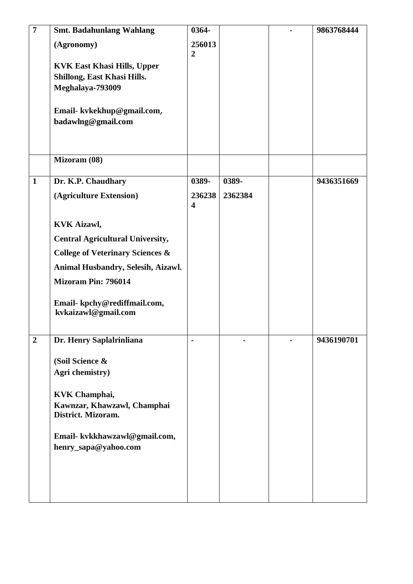| $\overline{7}$ | <b>Smt. Badahunlang Wahlang</b>                                   | 0364-                   |         | 9863768444 |
|----------------|-------------------------------------------------------------------|-------------------------|---------|------------|
|                | (Agronomy)                                                        | 256013                  |         |            |
|                |                                                                   | $\overline{2}$          |         |            |
|                | <b>KVK East Khasi Hills, Upper</b><br>Shillong, East Khasi Hills. |                         |         |            |
|                | Meghalaya-793009                                                  |                         |         |            |
|                |                                                                   |                         |         |            |
|                | Email-kvkekhup@gmail.com,                                         |                         |         |            |
|                | badawlng@gmail.com                                                |                         |         |            |
|                |                                                                   |                         |         |            |
|                |                                                                   |                         |         |            |
|                | Mizoram (08)                                                      |                         |         |            |
| $\mathbf{1}$   | Dr. K.P. Chaudhary                                                | 0389-                   | 0389-   | 9436351669 |
|                | (Agriculture Extension)                                           | 236238                  | 2362384 |            |
|                |                                                                   | $\overline{\mathbf{4}}$ |         |            |
|                | <b>KVK Aizawl,</b>                                                |                         |         |            |
|                | <b>Central Agricultural University,</b>                           |                         |         |            |
|                | <b>College of Veterinary Sciences &amp;</b>                       |                         |         |            |
|                | Animal Husbandry, Selesih, Aizawl.                                |                         |         |            |
|                | <b>Mizoram Pin: 796014</b>                                        |                         |         |            |
|                |                                                                   |                         |         |            |
|                | Email-kpchy@rediffmail.com,                                       |                         |         |            |
|                | kvkaizawl@gmail.com                                               |                         |         |            |
| $\overline{2}$ | Dr. Henry Saplalrinliana                                          | ۰                       |         | 9436190701 |
|                |                                                                   |                         |         |            |
|                | (Soil Science &                                                   |                         |         |            |
|                | Agri chemistry)                                                   |                         |         |            |
|                | <b>KVK Champhai,</b>                                              |                         |         |            |
|                | Kawnzar, Khawzawl, Champhai                                       |                         |         |            |
|                | District. Mizoram.                                                |                         |         |            |
|                |                                                                   |                         |         |            |
|                | Email- kvkkhawzawl@gmail.com,<br>henry_sapa@yahoo.com             |                         |         |            |
|                |                                                                   |                         |         |            |
|                |                                                                   |                         |         |            |
|                |                                                                   |                         |         |            |
|                |                                                                   |                         |         |            |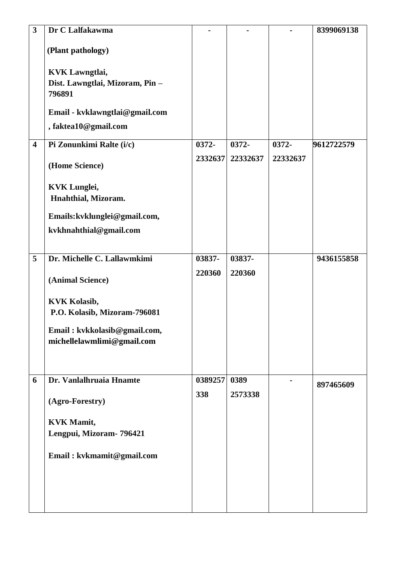| $\mathbf{3}$            | Dr C Lalfakawma                                                    |         |          |          | 8399069138 |
|-------------------------|--------------------------------------------------------------------|---------|----------|----------|------------|
|                         | (Plant pathology)                                                  |         |          |          |            |
|                         | <b>KVK Lawngtlai,</b><br>Dist. Lawngtlai, Mizoram, Pin -<br>796891 |         |          |          |            |
|                         | Email - kvklawngtlai@gmail.com                                     |         |          |          |            |
|                         | , faktea10@gmail.com                                               |         |          |          |            |
| $\overline{\mathbf{4}}$ | Pi Zonunkimi Ralte (i/c)                                           | 0372-   | 0372-    | 0372-    | 9612722579 |
|                         | (Home Science)                                                     | 2332637 | 22332637 | 22332637 |            |
|                         | <b>KVK Lunglei,</b><br>Hnahthial, Mizoram.                         |         |          |          |            |
|                         | Emails: kvklunglei@gmail.com,                                      |         |          |          |            |
|                         | kvkhnahthial@gmail.com                                             |         |          |          |            |
| 5                       | Dr. Michelle C. Lallawmkimi                                        | 03837-  | 03837-   |          | 9436155858 |
|                         | (Animal Science)                                                   | 220360  | 220360   |          |            |
|                         | <b>KVK Kolasib,</b><br>P.O. Kolasib, Mizoram-796081                |         |          |          |            |
|                         | Email: kvkkolasib@gmail.com,<br>michellelawmlimi@gmail.com         |         |          |          |            |
| 6                       | Dr. Vanlalhruaia Hnamte                                            | 0389257 | 0389     |          |            |
|                         | (Agro-Forestry)                                                    | 338     | 2573338  |          | 897465609  |
|                         | <b>KVK Mamit,</b>                                                  |         |          |          |            |
|                         | Lengpui, Mizoram- 796421                                           |         |          |          |            |
|                         | Email: kvkmamit@gmail.com                                          |         |          |          |            |
|                         |                                                                    |         |          |          |            |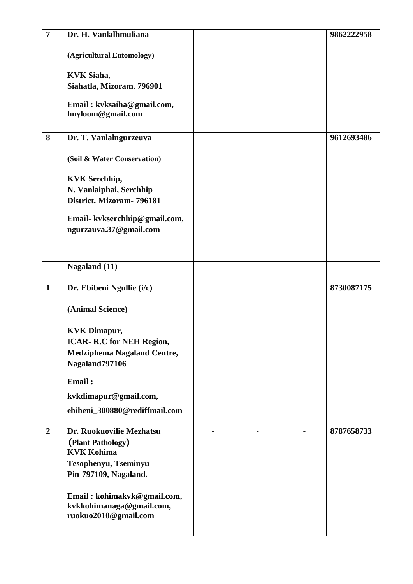| $\overline{7}$ | Dr. H. Vanlalhmuliana                            |  | 9862222958 |
|----------------|--------------------------------------------------|--|------------|
|                |                                                  |  |            |
|                | (Agricultural Entomology)                        |  |            |
|                | <b>KVK Siaha,</b>                                |  |            |
|                | Siahatla, Mizoram. 796901                        |  |            |
|                |                                                  |  |            |
|                | Email: kvksaiha@gmail.com,                       |  |            |
|                | hnyloom@gmail.com                                |  |            |
| 8              | Dr. T. Vanlalngurzeuva                           |  | 9612693486 |
|                |                                                  |  |            |
|                | (Soil & Water Conservation)                      |  |            |
|                |                                                  |  |            |
|                | <b>KVK Serchhip,</b>                             |  |            |
|                | N. Vanlaiphai, Serchhip                          |  |            |
|                | District. Mizoram- 796181                        |  |            |
|                | Email-kvkserchhip@gmail.com,                     |  |            |
|                | ngurzauva.37@gmail.com                           |  |            |
|                |                                                  |  |            |
|                |                                                  |  |            |
|                | Nagaland (11)                                    |  |            |
|                |                                                  |  |            |
| $\mathbf{1}$   | Dr. Ebibeni Ngullie (i/c)                        |  | 8730087175 |
|                |                                                  |  |            |
|                | (Animal Science)                                 |  |            |
|                | <b>KVK Dimapur,</b>                              |  |            |
|                | <b>ICAR- R.C for NEH Region,</b>                 |  |            |
|                | Medziphema Nagaland Centre,                      |  |            |
|                | Nagaland797106                                   |  |            |
|                | Email:                                           |  |            |
|                |                                                  |  |            |
|                | kvkdimapur@gmail.com,                            |  |            |
|                | ebibeni_300880@rediffmail.com                    |  |            |
| $\overline{2}$ | Dr. Ruokuovilie Mezhatsu                         |  | 8787658733 |
|                | (Plant Pathology)                                |  |            |
|                | <b>KVK Kohima</b>                                |  |            |
|                | Tesophenyu, Tseminyu                             |  |            |
|                | Pin-797109, Nagaland.                            |  |            |
|                |                                                  |  |            |
|                | Email: kohimakvk@gmail.com,                      |  |            |
|                | kvkkohimanaga@gmail.com,<br>ruokuo2010@gmail.com |  |            |
|                |                                                  |  |            |
|                |                                                  |  |            |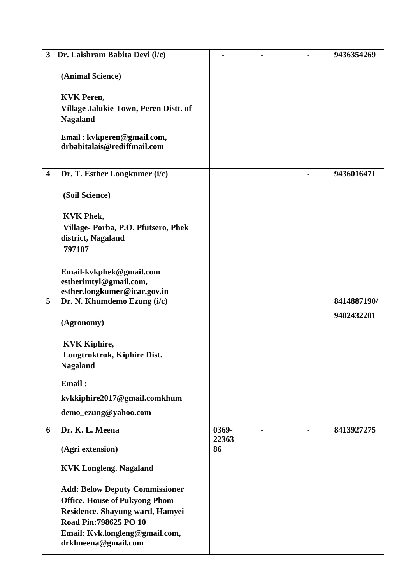| $\overline{\mathbf{3}}$ | Dr. Laishram Babita Devi (i/c)                                                |             |  | 9436354269  |
|-------------------------|-------------------------------------------------------------------------------|-------------|--|-------------|
|                         | (Animal Science)                                                              |             |  |             |
|                         | <b>KVK Peren,</b><br>Village Jalukie Town, Peren Distt. of<br><b>Nagaland</b> |             |  |             |
|                         | Email: kvkperen@gmail.com,<br>drbabitalais@rediffmail.com                     |             |  |             |
| $\overline{\mathbf{4}}$ | Dr. T. Esther Longkumer (i/c)                                                 |             |  | 9436016471  |
|                         | (Soil Science)                                                                |             |  |             |
|                         | <b>KVK Phek,</b>                                                              |             |  |             |
|                         | Village-Porba, P.O. Pfutsero, Phek                                            |             |  |             |
|                         | district, Nagaland                                                            |             |  |             |
|                         | -797107                                                                       |             |  |             |
|                         | Email-kvkphek@gmail.com                                                       |             |  |             |
|                         | estherimtyl@gmail.com,                                                        |             |  |             |
| 5                       | esther.longkumer@icar.gov.in<br>Dr. N. Khumdemo Ezung (i/c)                   |             |  | 8414887190/ |
|                         |                                                                               |             |  |             |
|                         | (Agronomy)                                                                    |             |  | 9402432201  |
|                         | <b>KVK Kiphire,</b>                                                           |             |  |             |
|                         | Longtroktrok, Kiphire Dist.                                                   |             |  |             |
|                         | <b>Nagaland</b>                                                               |             |  |             |
|                         | Email:                                                                        |             |  |             |
|                         | kvkkiphire2017@gmail.comkhum                                                  |             |  |             |
|                         | demo_ezung@yahoo.com                                                          |             |  |             |
| 6                       | Dr. K. L. Meena                                                               | 0369-       |  | 8413927275  |
|                         | (Agri extension)                                                              | 22363<br>86 |  |             |
|                         | <b>KVK Longleng. Nagaland</b>                                                 |             |  |             |
|                         | <b>Add: Below Deputy Commissioner</b>                                         |             |  |             |
|                         | <b>Office. House of Pukyong Phom</b>                                          |             |  |             |
|                         | Residence. Shayung ward, Hamyei                                               |             |  |             |
|                         | Road Pin: 798625 PO 10                                                        |             |  |             |
|                         | Email: Kvk.longleng@gmail.com,<br>drklmeena@gmail.com                         |             |  |             |
|                         |                                                                               |             |  |             |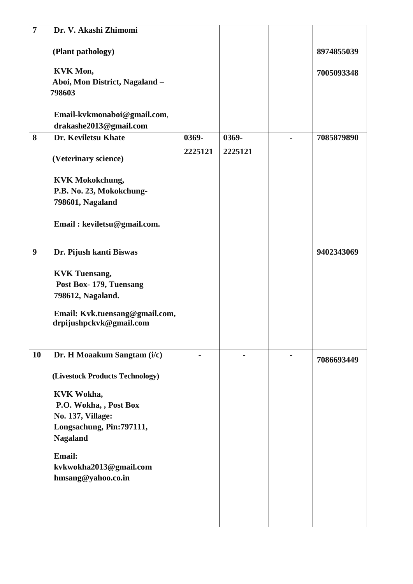| $\overline{7}$ | Dr. V. Akashi Zhimomi           |         |         |            |
|----------------|---------------------------------|---------|---------|------------|
|                |                                 |         |         |            |
|                | (Plant pathology)               |         |         | 8974855039 |
|                |                                 |         |         |            |
|                | <b>KVK Mon,</b>                 |         |         | 7005093348 |
|                | Aboi, Mon District, Nagaland -  |         |         |            |
|                | 798603                          |         |         |            |
|                | Email-kvkmonaboi@gmail.com,     |         |         |            |
|                | drakashe2013@gmail.com          |         |         |            |
| 8              | Dr. Keviletsu Khate             | 0369-   | 0369-   | 7085879890 |
|                |                                 | 2225121 | 2225121 |            |
|                | (Veterinary science)            |         |         |            |
|                |                                 |         |         |            |
|                | <b>KVK Mokokchung,</b>          |         |         |            |
|                | P.B. No. 23, Mokokchung-        |         |         |            |
|                | 798601, Nagaland                |         |         |            |
|                |                                 |         |         |            |
|                | Email: keviletsu@gmail.com.     |         |         |            |
|                |                                 |         |         |            |
| 9              | Dr. Pijush kanti Biswas         |         |         | 9402343069 |
|                |                                 |         |         |            |
|                | <b>KVK</b> Tuensang,            |         |         |            |
|                | Post Box-179, Tuensang          |         |         |            |
|                | 798612, Nagaland.               |         |         |            |
|                | Email: Kvk.tuensang@gmail.com,  |         |         |            |
|                | drpijushpckvk@gmail.com         |         |         |            |
|                |                                 |         |         |            |
|                |                                 |         |         |            |
| 10             | Dr. H Moaakum Sangtam (i/c)     |         |         | 7086693449 |
|                |                                 |         |         |            |
|                | (Livestock Products Technology) |         |         |            |
|                | KVK Wokha,                      |         |         |            |
|                | P.O. Wokha, , Post Box          |         |         |            |
|                | <b>No. 137, Village:</b>        |         |         |            |
|                | Longsachung, Pin: 797111,       |         |         |            |
|                | <b>Nagaland</b>                 |         |         |            |
|                | <b>Email:</b>                   |         |         |            |
|                | kvkwokha2013@gmail.com          |         |         |            |
|                | hmsang@yahoo.co.in              |         |         |            |
|                |                                 |         |         |            |
|                |                                 |         |         |            |
|                |                                 |         |         |            |
|                |                                 |         |         |            |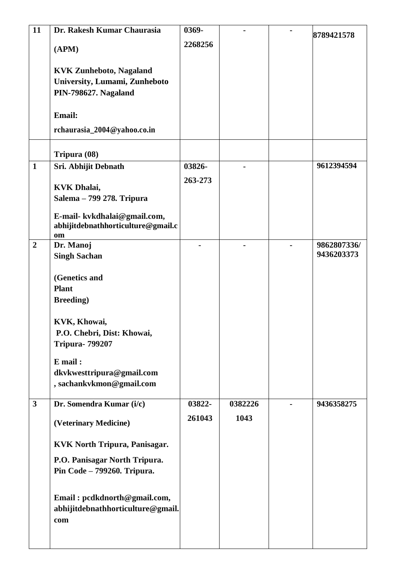| 11             | Dr. Rakesh Kumar Chaurasia                                         | 0369-   |         | 8789421578  |
|----------------|--------------------------------------------------------------------|---------|---------|-------------|
|                | (APM)                                                              | 2268256 |         |             |
|                |                                                                    |         |         |             |
|                | <b>KVK Zunheboto, Nagaland</b>                                     |         |         |             |
|                | University, Lumami, Zunheboto                                      |         |         |             |
|                | PIN-798627. Nagaland                                               |         |         |             |
|                |                                                                    |         |         |             |
|                | <b>Email:</b>                                                      |         |         |             |
|                | rchaurasia_2004@yahoo.co.in                                        |         |         |             |
|                |                                                                    |         |         |             |
| $\mathbf{1}$   | Tripura (08)                                                       | 03826-  |         | 9612394594  |
|                | Sri. Abhijit Debnath                                               |         |         |             |
|                | <b>KVK Dhalai,</b>                                                 | 263-273 |         |             |
|                | Salema - 799 278. Tripura                                          |         |         |             |
|                |                                                                    |         |         |             |
|                | E-mail- kvkdhalai@gmail.com,<br>abhijitdebnathhorticulture@gmail.c |         |         |             |
|                | om                                                                 |         |         |             |
| $\overline{2}$ | Dr. Manoj                                                          |         |         | 9862807336/ |
|                | <b>Singh Sachan</b>                                                |         |         | 9436203373  |
|                |                                                                    |         |         |             |
|                | (Genetics and<br><b>Plant</b>                                      |         |         |             |
|                | <b>Breeding</b> )                                                  |         |         |             |
|                |                                                                    |         |         |             |
|                | KVK, Khowai,                                                       |         |         |             |
|                | P.O. Chebri, Dist: Khowai,                                         |         |         |             |
|                | <b>Tripura- 799207</b>                                             |         |         |             |
|                | $E$ mail:                                                          |         |         |             |
|                | dkvkwesttripura@gmail.com                                          |         |         |             |
|                | , sachankvkmon@gmail.com                                           |         |         |             |
|                |                                                                    |         |         |             |
| $\mathbf{3}$   | Dr. Somendra Kumar (i/c)                                           | 03822-  | 0382226 | 9436358275  |
|                | (Veterinary Medicine)                                              | 261043  | 1043    |             |
|                |                                                                    |         |         |             |
|                | <b>KVK North Tripura, Panisagar.</b>                               |         |         |             |
|                | P.O. Panisagar North Tripura.                                      |         |         |             |
|                | Pin Code - 799260. Tripura.                                        |         |         |             |
|                |                                                                    |         |         |             |
|                | Email: pcdkdnorth@gmail.com,<br>abhijitdebnathhorticulture@gmail.  |         |         |             |
|                | com                                                                |         |         |             |
|                |                                                                    |         |         |             |
|                |                                                                    |         |         |             |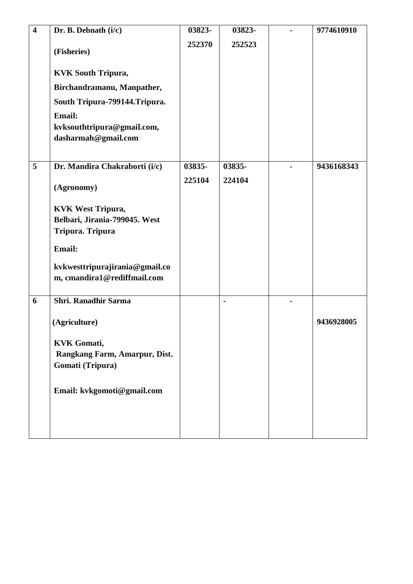| $\overline{\mathbf{4}}$ | Dr. B. Debnath (i/c)                                      | 03823- | 03823-         | 9774610910 |
|-------------------------|-----------------------------------------------------------|--------|----------------|------------|
|                         |                                                           | 252370 | 252523         |            |
|                         | (Fisheries)                                               |        |                |            |
|                         | <b>KVK South Tripura,</b>                                 |        |                |            |
|                         | Birchandramanu, Manpather,                                |        |                |            |
|                         | South Tripura-799144. Tripura.                            |        |                |            |
|                         | <b>Email:</b>                                             |        |                |            |
|                         | kvksouthtripura@gmail.com,                                |        |                |            |
|                         | dasharmah@gmail.com                                       |        |                |            |
| 5                       | Dr. Mandira Chakraborti (i/c)                             | 03835- | 03835-         | 9436168343 |
|                         |                                                           |        |                |            |
|                         | (Agronomy)                                                | 225104 | 224104         |            |
|                         |                                                           |        |                |            |
|                         | <b>KVK West Tripura,</b><br>Belbari, Jirania-799045. West |        |                |            |
|                         | Tripura. Tripura                                          |        |                |            |
|                         |                                                           |        |                |            |
|                         | <b>Email:</b>                                             |        |                |            |
|                         | kvkwesttripurajirania@gmail.co                            |        |                |            |
|                         | m, cmandira1@rediffmail.com                               |        |                |            |
| 6                       | Shri. Ranadhir Sarma                                      |        | $\blacksquare$ |            |
|                         |                                                           |        |                |            |
|                         | (Agriculture)                                             |        |                | 9436928005 |
|                         | <b>KVK Gomati,</b>                                        |        |                |            |
|                         | Rangkang Farm, Amarpur, Dist.                             |        |                |            |
|                         | Gomati (Tripura)                                          |        |                |            |
|                         |                                                           |        |                |            |
|                         | Email: kvkgomoti@gmail.com                                |        |                |            |
|                         |                                                           |        |                |            |
|                         |                                                           |        |                |            |
|                         |                                                           |        |                |            |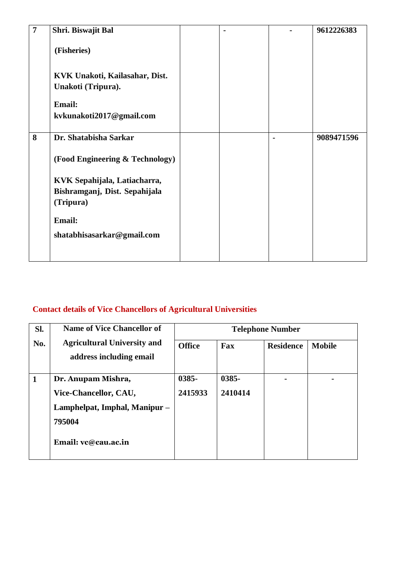| $\overline{7}$ | Shri. Biswajit Bal                                   |  | 9612226383 |
|----------------|------------------------------------------------------|--|------------|
|                | (Fisheries)                                          |  |            |
|                | KVK Unakoti, Kailasahar, Dist.<br>Unakoti (Tripura). |  |            |
|                | <b>Email:</b>                                        |  |            |
|                | kvkunakoti2017@gmail.com                             |  |            |
| 8              | Dr. Shatabisha Sarkar                                |  | 9089471596 |
|                | (Food Engineering & Technology)                      |  |            |
|                | KVK Sepahijala, Latiacharra,                         |  |            |
|                | Bishramganj, Dist. Sepahijala                        |  |            |
|                | (Tripura)                                            |  |            |
|                | <b>Email:</b>                                        |  |            |
|                | shatabhisasarkar@gmail.com                           |  |            |
|                |                                                      |  |            |

# **Contact details of Vice Chancellors of Agricultural Universities**

| Sl. | <b>Name of Vice Chancellor of</b>  | <b>Telephone Number</b> |          |                  |               |  |
|-----|------------------------------------|-------------------------|----------|------------------|---------------|--|
| No. | <b>Agricultural University and</b> | <b>Office</b>           | Fax      | <b>Residence</b> | <b>Mobile</b> |  |
|     | address including email            |                         |          |                  |               |  |
|     |                                    |                         |          |                  |               |  |
| 1   | Dr. Anupam Mishra,                 | $0385 -$                | $0385 -$ |                  |               |  |
|     | Vice-Chancellor, CAU,              | 2415933                 | 2410414  |                  |               |  |
|     | Lamphelpat, Imphal, Manipur -      |                         |          |                  |               |  |
|     | 795004                             |                         |          |                  |               |  |
|     | Email: vc@cau.ac.in                |                         |          |                  |               |  |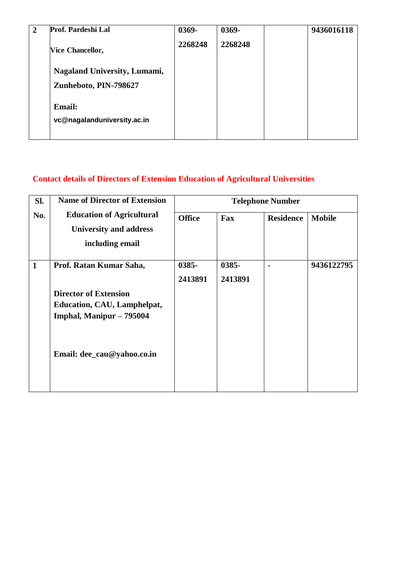| $\mathbf{2}$ | Prof. Pardeshi Lal                                    | 0369-   | 0369-   | 9436016118 |
|--------------|-------------------------------------------------------|---------|---------|------------|
|              | <b>Vice Chancellor,</b>                               | 2268248 | 2268248 |            |
|              | Nagaland University, Lumami,<br>Zunheboto, PIN-798627 |         |         |            |
|              | <b>Email:</b><br>vc@nagalanduniversity.ac.in          |         |         |            |

### **Contact details of Directors of Extension Education of Agricultural Universities**

| Sl.          | <b>Name of Director of Extension</b>                                                           | <b>Telephone Number</b> |                  |                  |               |  |
|--------------|------------------------------------------------------------------------------------------------|-------------------------|------------------|------------------|---------------|--|
| No.          | <b>Education of Agricultural</b><br><b>University and address</b><br>including email           | <b>Office</b>           | Fax              | <b>Residence</b> | <b>Mobile</b> |  |
| $\mathbf{1}$ | Prof. Ratan Kumar Saha,                                                                        | 0385-<br>2413891        | 0385-<br>2413891 |                  | 9436122795    |  |
|              | <b>Director of Extension</b><br><b>Education, CAU, Lamphelpat,</b><br>Imphal, Manipur - 795004 |                         |                  |                  |               |  |
|              | Email: dee_cau@yahoo.co.in                                                                     |                         |                  |                  |               |  |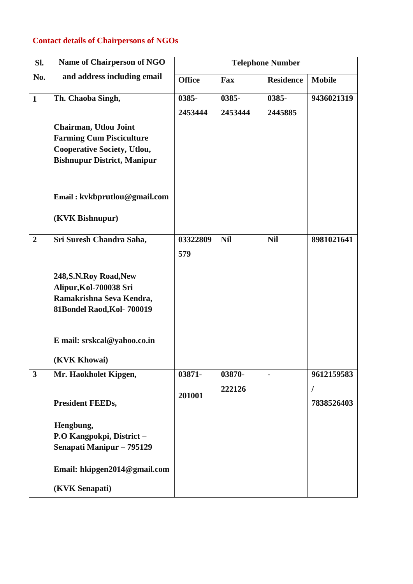### **Contact details of Chairpersons of NGOs**

| Sl.                     | <b>Name of Chairperson of NGO</b>                                                                                                           |                  |                  | <b>Telephone Number</b> |                          |
|-------------------------|---------------------------------------------------------------------------------------------------------------------------------------------|------------------|------------------|-------------------------|--------------------------|
| No.                     | and address including email                                                                                                                 | <b>Office</b>    | Fax              | <b>Residence</b>        | <b>Mobile</b>            |
| $\mathbf{1}$            | Th. Chaoba Singh,                                                                                                                           | 0385-<br>2453444 | 0385-<br>2453444 | 0385-<br>2445885        | 9436021319               |
|                         | <b>Chairman, Utlou Joint</b><br><b>Farming Cum Pisciculture</b><br><b>Cooperative Society, Utlou,</b><br><b>Bishnupur District, Manipur</b> |                  |                  |                         |                          |
|                         | Email: kvkbprutlou@gmail.com<br>(KVK Bishnupur)                                                                                             |                  |                  |                         |                          |
| $\overline{2}$          | Sri Suresh Chandra Saha,                                                                                                                    | 03322809<br>579  | <b>Nil</b>       | <b>Nil</b>              | 8981021641               |
|                         | 248, S.N. Roy Road, New<br>Alipur, Kol-700038 Sri<br>Ramakrishna Seva Kendra,<br>81Bondel Raod, Kol-700019                                  |                  |                  |                         |                          |
|                         | E mail: srskcal@yahoo.co.in<br>(KVK Khowai)                                                                                                 |                  |                  |                         |                          |
| $\overline{\mathbf{3}}$ | Mr. Haokholet Kipgen,                                                                                                                       | 03871-           | 03870-           |                         | 9612159583               |
|                         | <b>President FEEDs,</b>                                                                                                                     | 201001           | 222126           |                         | $\sqrt{2}$<br>7838526403 |
|                         | Hengbung,<br>P.O Kangpokpi, District-<br>Senapati Manipur - 795129                                                                          |                  |                  |                         |                          |
|                         | Email: hkipgen2014@gmail.com                                                                                                                |                  |                  |                         |                          |
|                         | (KVK Senapati)                                                                                                                              |                  |                  |                         |                          |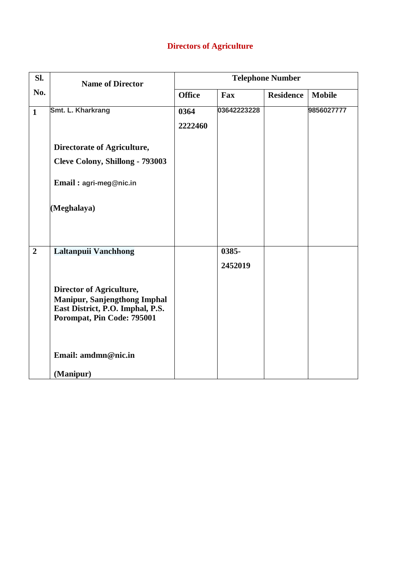### **Directors of Agriculture**

| Sl.            | <b>Name of Director</b>                                                                                                                            | <b>Telephone Number</b> |                  |                  |               |  |
|----------------|----------------------------------------------------------------------------------------------------------------------------------------------------|-------------------------|------------------|------------------|---------------|--|
| No.            |                                                                                                                                                    | <b>Office</b>           | Fax              | <b>Residence</b> | <b>Mobile</b> |  |
| $\mathbf{1}$   | Smt. L. Kharkrang                                                                                                                                  | 0364<br>2222460         | 03642223228      |                  | 9856027777    |  |
|                | Directorate of Agriculture,<br>Cleve Colony, Shillong - 793003                                                                                     |                         |                  |                  |               |  |
|                | Email: agri-meg@nic.in                                                                                                                             |                         |                  |                  |               |  |
|                | (Meghalaya)                                                                                                                                        |                         |                  |                  |               |  |
| $\overline{2}$ | Laltanpuii Vanchhong<br>Director of Agriculture,<br>Manipur, Sanjengthong Imphal<br>East District, P.O. Imphal, P.S.<br>Porompat, Pin Code: 795001 |                         | 0385-<br>2452019 |                  |               |  |
|                | Email: amdmn@nic.in                                                                                                                                |                         |                  |                  |               |  |
|                | (Manipur)                                                                                                                                          |                         |                  |                  |               |  |